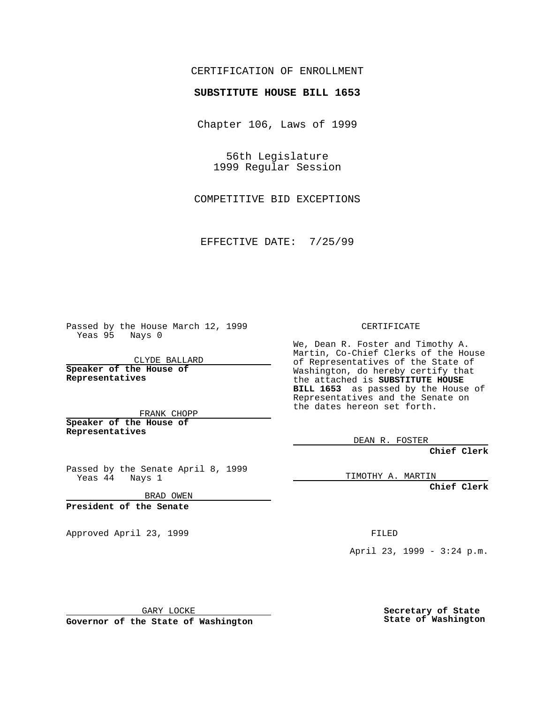### CERTIFICATION OF ENROLLMENT

# **SUBSTITUTE HOUSE BILL 1653**

Chapter 106, Laws of 1999

56th Legislature 1999 Regular Session

COMPETITIVE BID EXCEPTIONS

EFFECTIVE DATE: 7/25/99

Passed by the House March 12, 1999 Yeas 95 Nays 0

CLYDE BALLARD **Speaker of the House of Representatives**

FRANK CHOPP **Speaker of the House of**

**Representatives**

Passed by the Senate April 8, 1999 Yeas 44 Nays 1

BRAD OWEN

**President of the Senate**

Approved April 23, 1999 FILED

### CERTIFICATE

We, Dean R. Foster and Timothy A. Martin, Co-Chief Clerks of the House of Representatives of the State of Washington, do hereby certify that the attached is **SUBSTITUTE HOUSE BILL 1653** as passed by the House of Representatives and the Senate on the dates hereon set forth.

DEAN R. FOSTER

**Chief Clerk**

TIMOTHY A. MARTIN

**Chief Clerk**

April 23, 1999 - 3:24 p.m.

GARY LOCKE

**Governor of the State of Washington**

**Secretary of State State of Washington**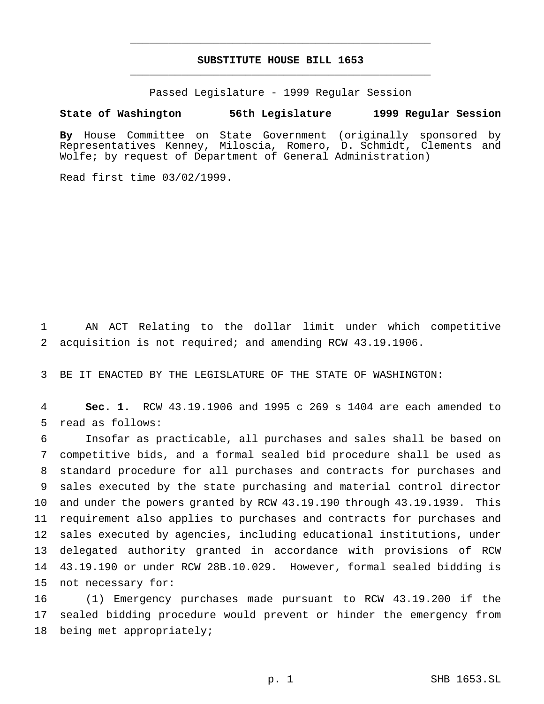## **SUBSTITUTE HOUSE BILL 1653** \_\_\_\_\_\_\_\_\_\_\_\_\_\_\_\_\_\_\_\_\_\_\_\_\_\_\_\_\_\_\_\_\_\_\_\_\_\_\_\_\_\_\_\_\_\_\_

\_\_\_\_\_\_\_\_\_\_\_\_\_\_\_\_\_\_\_\_\_\_\_\_\_\_\_\_\_\_\_\_\_\_\_\_\_\_\_\_\_\_\_\_\_\_\_

Passed Legislature - 1999 Regular Session

#### **State of Washington 56th Legislature 1999 Regular Session**

**By** House Committee on State Government (originally sponsored by Representatives Kenney, Miloscia, Romero, D. Schmidt, Clements and Wolfe; by request of Department of General Administration)

Read first time 03/02/1999.

 AN ACT Relating to the dollar limit under which competitive acquisition is not required; and amending RCW 43.19.1906.

BE IT ENACTED BY THE LEGISLATURE OF THE STATE OF WASHINGTON:

 **Sec. 1.** RCW 43.19.1906 and 1995 c 269 s 1404 are each amended to read as follows:

 Insofar as practicable, all purchases and sales shall be based on competitive bids, and a formal sealed bid procedure shall be used as standard procedure for all purchases and contracts for purchases and sales executed by the state purchasing and material control director and under the powers granted by RCW 43.19.190 through 43.19.1939. This requirement also applies to purchases and contracts for purchases and sales executed by agencies, including educational institutions, under delegated authority granted in accordance with provisions of RCW 43.19.190 or under RCW 28B.10.029. However, formal sealed bidding is not necessary for:

 (1) Emergency purchases made pursuant to RCW 43.19.200 if the sealed bidding procedure would prevent or hinder the emergency from being met appropriately;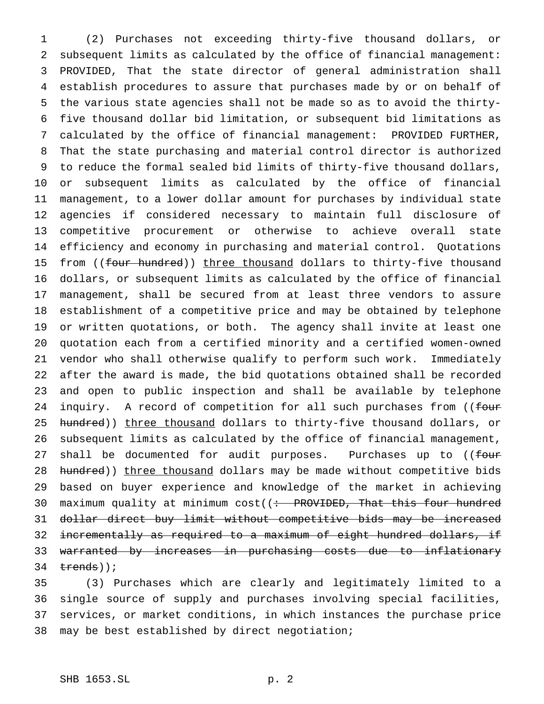(2) Purchases not exceeding thirty-five thousand dollars, or subsequent limits as calculated by the office of financial management: PROVIDED, That the state director of general administration shall establish procedures to assure that purchases made by or on behalf of the various state agencies shall not be made so as to avoid the thirty- five thousand dollar bid limitation, or subsequent bid limitations as calculated by the office of financial management: PROVIDED FURTHER, That the state purchasing and material control director is authorized to reduce the formal sealed bid limits of thirty-five thousand dollars, or subsequent limits as calculated by the office of financial management, to a lower dollar amount for purchases by individual state agencies if considered necessary to maintain full disclosure of competitive procurement or otherwise to achieve overall state efficiency and economy in purchasing and material control. Quotations 15 from ((four hundred)) three thousand dollars to thirty-five thousand dollars, or subsequent limits as calculated by the office of financial management, shall be secured from at least three vendors to assure establishment of a competitive price and may be obtained by telephone or written quotations, or both. The agency shall invite at least one quotation each from a certified minority and a certified women-owned vendor who shall otherwise qualify to perform such work. Immediately after the award is made, the bid quotations obtained shall be recorded and open to public inspection and shall be available by telephone 24 inquiry. A record of competition for all such purchases from ((four 25 hundred)) three thousand dollars to thirty-five thousand dollars, or subsequent limits as calculated by the office of financial management, 27 shall be documented for audit purposes. Purchases up to ((four 28 hundred)) three thousand dollars may be made without competitive bids based on buyer experience and knowledge of the market in achieving 30 maximum quality at minimum cost((: PROVIDED, That this four hundred 31 dollar direct buy limit without competitive bids may be increased 32 incrementally as required to a maximum of eight hundred dollars, if warranted by increases in purchasing costs due to inflationary  $t$ rends));

 (3) Purchases which are clearly and legitimately limited to a single source of supply and purchases involving special facilities, services, or market conditions, in which instances the purchase price may be best established by direct negotiation;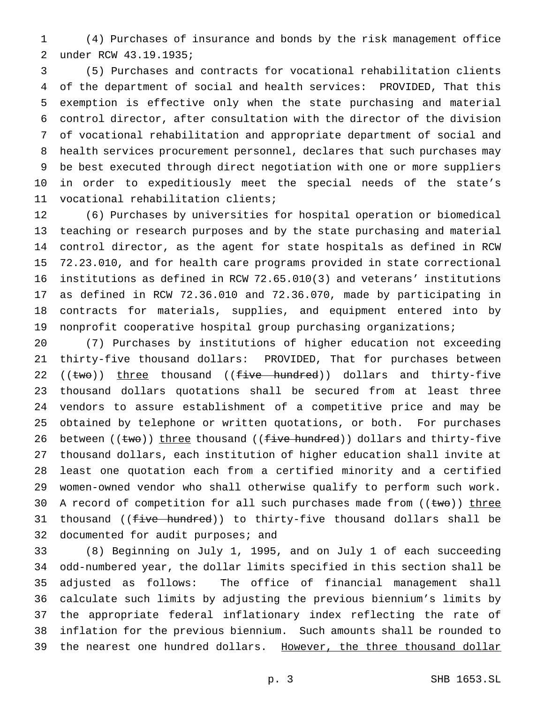(4) Purchases of insurance and bonds by the risk management office under RCW 43.19.1935;

 (5) Purchases and contracts for vocational rehabilitation clients of the department of social and health services: PROVIDED, That this exemption is effective only when the state purchasing and material control director, after consultation with the director of the division of vocational rehabilitation and appropriate department of social and health services procurement personnel, declares that such purchases may be best executed through direct negotiation with one or more suppliers in order to expeditiously meet the special needs of the state's vocational rehabilitation clients;

 (6) Purchases by universities for hospital operation or biomedical teaching or research purposes and by the state purchasing and material control director, as the agent for state hospitals as defined in RCW 72.23.010, and for health care programs provided in state correctional institutions as defined in RCW 72.65.010(3) and veterans' institutions as defined in RCW 72.36.010 and 72.36.070, made by participating in contracts for materials, supplies, and equipment entered into by nonprofit cooperative hospital group purchasing organizations;

 (7) Purchases by institutions of higher education not exceeding thirty-five thousand dollars: PROVIDED, That for purchases between 22 ((two)) three thousand ((five hundred)) dollars and thirty-five thousand dollars quotations shall be secured from at least three vendors to assure establishment of a competitive price and may be obtained by telephone or written quotations, or both. For purchases 26 between ((two)) three thousand ((five hundred)) dollars and thirty-five thousand dollars, each institution of higher education shall invite at least one quotation each from a certified minority and a certified women-owned vendor who shall otherwise qualify to perform such work. 30 A record of competition for all such purchases made from ((two)) three 31 thousand ((five hundred)) to thirty-five thousand dollars shall be 32 documented for audit purposes; and

 (8) Beginning on July 1, 1995, and on July 1 of each succeeding odd-numbered year, the dollar limits specified in this section shall be adjusted as follows: The office of financial management shall calculate such limits by adjusting the previous biennium's limits by the appropriate federal inflationary index reflecting the rate of inflation for the previous biennium. Such amounts shall be rounded to 39 the nearest one hundred dollars. However, the three thousand dollar